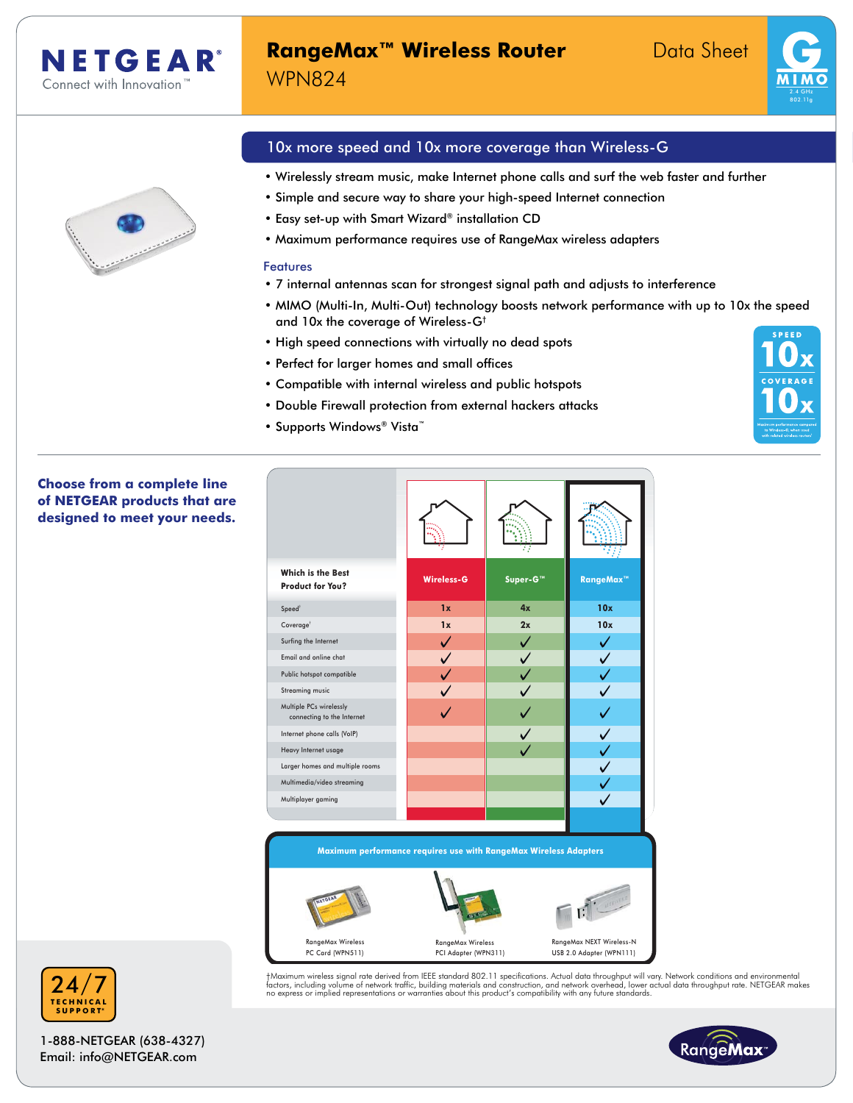

### **RangeMax™ Wireless Router** Data Sheet WPN824





#### 10x more speed and 10x more coverage than Wireless-G

- Wirelessly stream music, make Internet phone calls and surf the web faster and further
- Simple and secure way to share your high-speed Internet connection
- Easy set-up with Smart Wizard® installation CD
- Maximum performance requires use of RangeMax wireless adapters

#### Features

- 7 internal antennas scan for strongest signal path and adjusts to interference
- MIMO (Multi-In, Multi-Out) technology boosts network performance with up to 10x the speed and 10x the coverage of Wireless-G† **SPEED**
- High speed connections with virtually no dead spots
- Perfect for larger homes and small offices
- Compatible with internal wireless and public hotspots
- Double Firewall protection from external hackers attacks
- Supports Windows® Vista™

#### **Choose from a complete line of NETGEAR products that are designed to meet your needs.**



†Maximum wireless signal rate derived from IEEE standard 802.11 specifications. Actual data throughput will vary. Network conditions and environmental<br>factors, including volume of network traffic, building materials and co



1-888-NETGEAR (638-4327) Email: info@NETGEAR.com